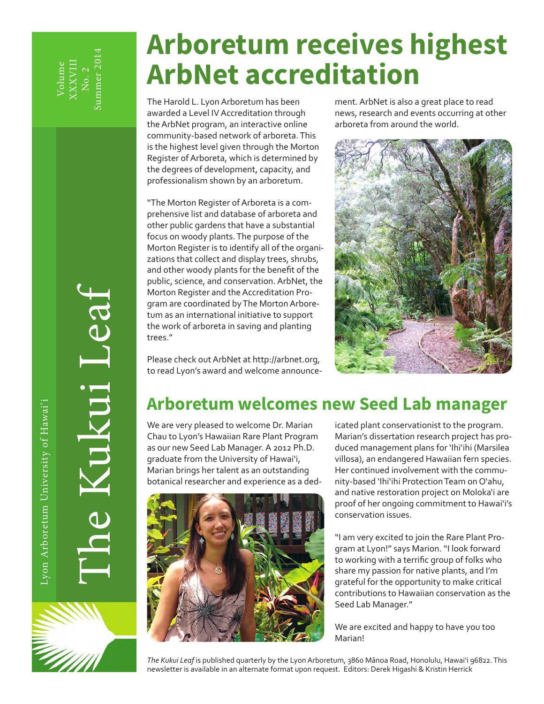# **Arboretum receives highest ArbNet accreditation**

The Harold L. Lyon Arboretum has been awarded a Level IV Accreditation through the ArbNet program, an interactive online community-based network of arboreta. This is the highest level given through the Morton Register of Arboreta, which is determined by the degrees of development, capacity, and professionalism shown by an arboretum.

"The Morton Register of Arboreta is a comprehensive list and database of arboreta and other public gardens that have a substantial focus on woody plants. The purpose of the Morton Register is to identify all of the organizations that collect and display trees, shrubs, and other woody plants for the benefit of the public, science, and conservation. ArbNet, the Morton Register and the Accreditation Program are coordinated by The Morton Arboretum as an international initiative to support the work of arboreta in saving and planting trees."

Please check out ArbNet at http://arbnet.org, to read Lyon's award and welcome announcement. ArbNet is also a great place to read news, research and events occurring at other arboreta from around the world.



## **Arboretum welcomes new Seed Lab manager**

We are very pleased to welcome Dr. Marian Chau to Lyon's Hawaiian Rare Plant Program as our new Seed Lab Manager. A 2012 Ph.D. graduate from the University of Hawai'i, Marian brings her talent as an outstanding botanical researcher and experience as a ded-



icated plant conservationist to the program. Marian's dissertation research project has produced management plans for 'Ihi'ihi (Marsilea villosa), an endangered Hawaiian fern species. Her continued involvement with the community-based 'Ihi'ihi Protection Team on O'ahu, and native restoration project on Moloka'i are proof of her ongoing commitment to Hawai'i's conservation issues.

"I am very excited to join the Rare Plant Program at Lyon!" says Marion. "I look forward to working with a terrific group of folks who share my passion for native plants, and I'm grateful for the opportunity to make critical contributions to Hawaiian conservation as the Seed Lab Manager."

We are excited and happy to have you too Marian!

*The Kukui Leaf* is published quarterly by the Lyon Arboretum, 3860 Mānoa Road, Honolulu, Hawai'i 96822. This newsletter is available in an alternate format upon request. Editors: Derek Higashi & Kristin Herrick

The Kukui Leaf

E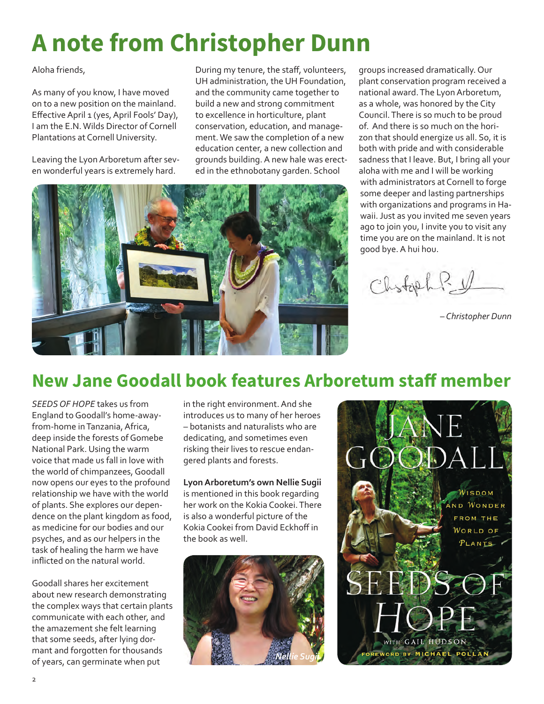# **A note from Christopher Dunn**

Aloha friends,

As many of you know, I have moved on to a new position on the mainland. Effective April 1 (yes, April Fools' Day), I am the E.N. Wilds Director of Cornell Plantations at Cornell University.

Leaving the Lyon Arboretum after seven wonderful years is extremely hard.

During my tenure, the staff, volunteers, UH administration, the UH Foundation, and the community came together to build a new and strong commitment to excellence in horticulture, plant conservation, education, and management. We saw the completion of a new education center, a new collection and grounds building. A new hale was erected in the ethnobotany garden. School



groups increased dramatically. Our plant conservation program received a national award. The Lyon Arboretum, as a whole, was honored by the City Council. There is so much to be proud of. And there is so much on the horizon that should energize us all. So, it is both with pride and with considerable sadness that I leave. But, I bring all your aloha with me and I will be working with administrators at Cornell to forge some deeper and lasting partnerships with organizations and programs in Hawaii. Just as you invited me seven years ago to join you, I invite you to visit any time you are on the mainland. It is not good bye. A hui hou.

Chstoph? V

*– Christopher Dunn*

## **New Jane Goodall book features Arboretum staff member**

*SEEDS OF HOPE* takes us from England to Goodall's home-awayfrom-home in Tanzania, Africa, deep inside the forests of Gomebe National Park. Using the warm voice that made us fall in love with the world of chimpanzees, Goodall now opens our eyes to the profound relationship we have with the world of plants. She explores our dependence on the plant kingdom as food, as medicine for our bodies and our psyches, and as our helpers in the task of healing the harm we have inflicted on the natural world.

Goodall shares her excitement about new research demonstrating the complex ways that certain plants communicate with each other, and the amazement she felt learning that some seeds, after lying dormant and forgotten for thousands of years, can germinate when put

in the right environment. And she introduces us to many of her heroes – botanists and naturalists who are dedicating, and sometimes even risking their lives to rescue endangered plants and forests.

**Lyon Arboretum's own Nellie Sugii**  is mentioned in this book regarding her work on the Kokia Cookei. There is also a wonderful picture of the Kokia Cookei from David Eckhoff in the book as well.



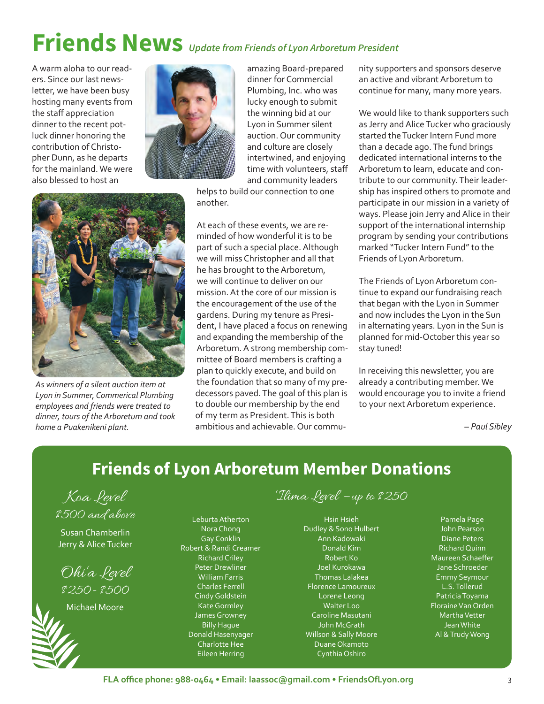# **Friends News** *Update from Friends of Lyon Arboretum President*

A warm aloha to our readers. Since our last newsletter, we have been busy hosting many events from the staff appreciation dinner to the recent potluck dinner honoring the contribution of Christopher Dunn, as he departs for the mainland. We were also blessed to host an



amazing Board-prepared dinner for Commercial Plumbing, Inc. who was lucky enough to submit the winning bid at our Lyon in Summer silent auction. Our community and culture are closely intertwined, and enjoying time with volunteers, staff and community leaders

helps to build our connection to one another.

At each of these events, we are reminded of how wonderful it is to be part of such a special place. Although we will miss Christopher and all that he has brought to the Arboretum, we will continue to deliver on our mission. At the core of our mission is the encouragement of the use of the gardens. During my tenure as President, I have placed a focus on renewing and expanding the membership of the Arboretum. A strong membership committee of Board members is crafting a plan to quickly execute, and build on the foundation that so many of my predecessors paved. The goal of this plan is to double our membership by the end of my term as President. This is both ambitious and achievable. Our community supporters and sponsors deserve an active and vibrant Arboretum to continue for many, many more years.

We would like to thank supporters such as Jerry and Alice Tucker who graciously started the Tucker Intern Fund more than a decade ago. The fund brings dedicated international interns to the Arboretum to learn, educate and contribute to our community. Their leadership has inspired others to promote and participate in our mission in a variety of ways. Please join Jerry and Alice in their support of the international internship program by sending your contributions marked "Tucker Intern Fund" to the Friends of Lyon Arboretum.

The Friends of Lyon Arboretum continue to expand our fundraising reach that began with the Lyon in Summer and now includes the Lyon in the Sun in alternating years. Lyon in the Sun is planned for mid-October this year so stay tuned!

In receiving this newsletter, you are already a contributing member. We would encourage you to invite a friend to your next Arboretum experience.

*– Paul Sibley*

## **Friends of Lyon Arboretum Member Donations**

Koa Level \$500 and above

Susan Chamberlin Jerry & Alice Tucker

Ohi'a Level \$250- \$500

Michael Moore

Leburta Atherton Nora Chong Gay Conklin Robert & Randi Creamer Richard Criley Peter Drewliner William Farris Charles Ferrell Cindy Goldstein Kate Gormley James Growney Billy Hague Donald Hasenyager Charlotte Hee Eileen Herring

'Ilima Level – up to \$250

Hsin Hsieh Dudley & Sono Hulbert Ann Kadowaki Donald Kim Robert Ko Joel Kurokawa Thomas Lalakea Florence Lamoureux Lorene Leong Walter Loo Caroline Masutani John McGrath Willson & Sally Moore Duane Okamoto Cynthia Oshiro

Pamela Page John Pearson Diane Peters Richard Quinn Maureen Schaeffer Jane Schroeder Emmy Seymour L.S. Tollerud Patricia Toyama Floraine Van Orden Martha Vetter Jean White Al & Trudy Wong



*As winners of a silent auction item at Lyon in Summer, Commerical Plumbing employees and friends were treated to dinner, tours of the Arboretum and took home a Puakenikeni plant.*

**FLA office phone: 988-0464 • Email: laassoc@gmail.com • FriendsOfLyon.org** 3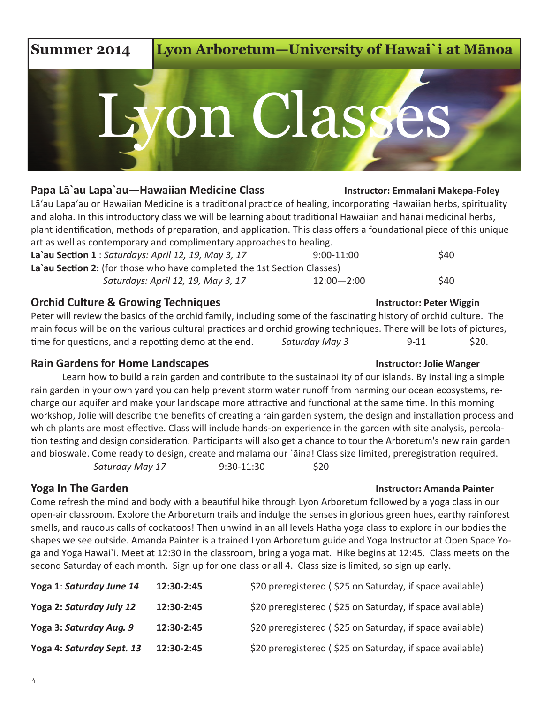# **La`au Section 2:** (for those who have completed the 1st Section Classes) **Orchid Culture & Growing Techniques Instructor: Peter Wiggin**

**Rain Gardens for Home Landscapes** The Communication of the Unit of the Wanger and The Wanger and The Wanger and The Wanger **Reserves** Instructor: Jolie Wanger

Learn how to build a rain garden and contribute to the sustainability of our islands. By installing a simple rain garden in your own yard you can help prevent storm water runoff from harming our ocean ecosystems, recharge our aquifer and make your landscape more attractive and functional at the same time. In this morning workshop, Jolie will describe the benefits of creating a rain garden system, the design and installation process and which plants are most effective. Class will include hands-on experience in the garden with site analysis, percolation testing and design consideration. Participants will also get a chance to tour the Arboretum's new rain garden and bioswale. Come ready to design, create and malama our `āina! Class size limited, preregistration required. *Saturday May 17* 9:30-11:30 \$20

Come refresh the mind and body with a beautiful hike through Lyon Arboretum followed by a yoga class in our open-air classroom. Explore the Arboretum trails and indulge the senses in glorious green hues, earthy rainforest smells, and raucous calls of cockatoos! Then unwind in an all levels Hatha yoga class to explore in our bodies the shapes we see outside. Amanda Painter is a trained Lyon Arboretum guide and Yoga Instructor at Open Space Yoga and Yoga Hawai`i. Meet at 12:30 in the classroom, bring a yoga mat. Hike begins at 12:45. Class meets on the second Saturday of each month. Sign up for one class or all 4. Class size is limited, so sign up early.

| Yoga 1: Saturday June 14  | 12:30-2:45 | \$20 preregistered (\$25 on Saturday, if space available) |
|---------------------------|------------|-----------------------------------------------------------|
| Yoga 2: Saturday July 12  | 12:30-2:45 | \$20 preregistered (\$25 on Saturday, if space available) |
| Yoga 3: Saturday Aug. 9   | 12:30-2:45 | \$20 preregistered (\$25 on Saturday, if space available) |
| Yoga 4: Saturday Sept. 13 | 12:30-2:45 | \$20 preregistered (\$25 on Saturday, if space available) |

### **Papa Lā`au Lapa`au—Hawaiian Medicine Class Instructor: Emmalani Makepa-Foley**

Lā'au Lapa'au or Hawaiian Medicine is a traditional practice of healing, incorporating Hawaiian herbs, spirituality and aloha. In this introductory class we will be learning about traditional Hawaiian and hānai medicinal herbs, plant identification, methods of preparation, and application. This class offers a foundational piece of this unique art as well as contemporary and complimentary approaches to healing.

on Classe

**Summer 2014 Lyon Arboretum—University of Hawai`i at Mānoa**

| La'au Section 1 : Saturdays: April 12, 19, May 3, 17                    | $9:00-11:00$   | \$40 |
|-------------------------------------------------------------------------|----------------|------|
| La'au Section 2: (for those who have completed the 1st Section Classes) |                |      |
| Saturdays: April 12, 19, May 3, 17                                      | $12:00 - 2:00$ | \$40 |

Peter will review the basics of the orchid family, including some of the fascinating history of orchid culture. The main focus will be on the various cultural practices and orchid growing techniques. There will be lots of pictures, time for questions, and a repotting demo at the end. Saturday May 3 9-11 \$20.

### **Yoga In The Garden Instructor: Amanda Painter instructor: Amanda Painter**

### 4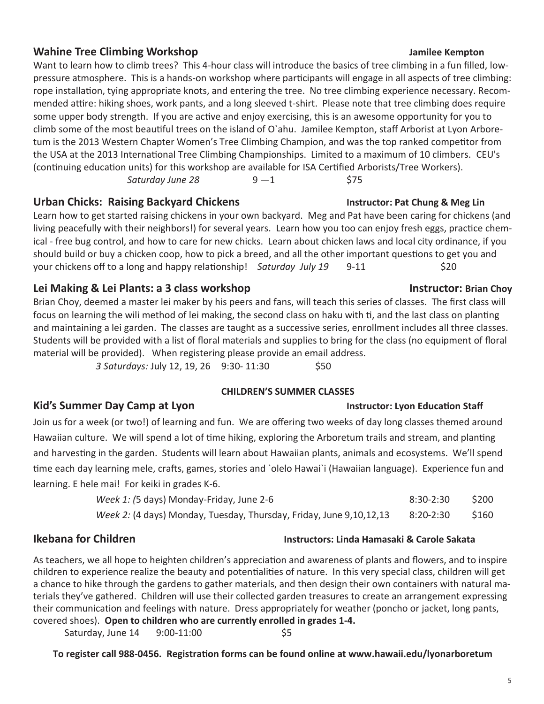### **Wahine Tree Climbing Workshop State Accord Contract Contract Contract Accord Contract Contract Accord Contract Contract Accord Accord Accord Accord Manufacture Accord Accord Manufacture Accord Manufacture Accord Manufactu**

Want to learn how to climb trees? This 4-hour class will introduce the basics of tree climbing in a fun filled, lowpressure atmosphere. This is a hands-on workshop where participants will engage in all aspects of tree climbing: rope installation, tying appropriate knots, and entering the tree. No tree climbing experience necessary. Recommended attire: hiking shoes, work pants, and a long sleeved t-shirt. Please note that tree climbing does require some upper body strength. If you are active and enjoy exercising, this is an awesome opportunity for you to climb some of the most beautiful trees on the island of O`ahu. Jamilee Kempton, staff Arborist at Lyon Arboretum is the 2013 Western Chapter Women's Tree Climbing Champion, and was the top ranked competitor from the USA at the 2013 International Tree Climbing Championships. Limited to a maximum of 10 climbers. CEU's (continuing education units) for this workshop are available for ISA Certified Arborists/Tree Workers).  $Saturday June 28$   $9-1$  \$75

### **Urban Chicks: Raising Backyard Chickens Instructor: Pat Chung & Meg Lin**

Learn how to get started raising chickens in your own backyard. Meg and Pat have been caring for chickens (and living peacefully with their neighbors!) for several years. Learn how you too can enjoy fresh eggs, practice chemical - free bug control, and how to care for new chicks. Learn about chicken laws and local city ordinance, if you should build or buy a chicken coop, how to pick a breed, and all the other important questions to get you and your chickens off to a long and happy relationship! *Saturday July 19* 9-11 \$20

### Lei Making & Lei Plants: a 3 class workshop **Instructor: Brian Choy**

Brian Choy, deemed a master lei maker by his peers and fans, will teach this series of classes. The first class will focus on learning the wili method of lei making, the second class on haku with ti, and the last class on planting and maintaining a lei garden. The classes are taught as a successive series, enrollment includes all three classes. Students will be provided with a list of floral materials and supplies to bring for the class (no equipment of floral material will be provided). When registering please provide an email address.

*3 Saturdays: July 12, 19, 26* 9:30-11:30 \$50

### **CHILDREN'S SUMMER CLASSES**

### **Kid's Summer Day Camp at Lyon Instructor: Lyon Education Staff**

Join us for a week (or two!) of learning and fun. We are offering two weeks of day long classes themed around Hawaiian culture. We will spend a lot of time hiking, exploring the Arboretum trails and stream, and planting and harvesting in the garden. Students will learn about Hawaiian plants, animals and ecosystems. We'll spend time each day learning mele, crafts, games, stories and `olelo Hawai`i (Hawaiian language). Experience fun and learning. E hele mai! For keiki in grades K-6.

| Week 1: (5 days) Monday-Friday, June 2-6                                      | $8:30-2:30$ | \$200 |
|-------------------------------------------------------------------------------|-------------|-------|
| <i>Week 2:</i> (4 days) Monday, Tuesday, Thursday, Friday, June 9, 10, 12, 13 | 8:20-2:30   | \$160 |

As teachers, we all hope to heighten children's appreciation and awareness of plants and flowers, and to inspire children to experience realize the beauty and potentialities of nature. In this very special class, children will get a chance to hike through the gardens to gather materials, and then design their own containers with natural materials they've gathered. Children will use their collected garden treasures to create an arrangement expressing their communication and feelings with nature. Dress appropriately for weather (poncho or jacket, long pants, covered shoes). **Open to children who are currently enrolled in grades 1-4.**

Saturday, June 14 9:00-11:00 \$5

**To register call 988-0456. Registration forms can be found online at www.hawaii.edu/lyonarboretum**

### 5

### **Ikebana for Children Instructors: Linda Hamasaki & Carole Sakata**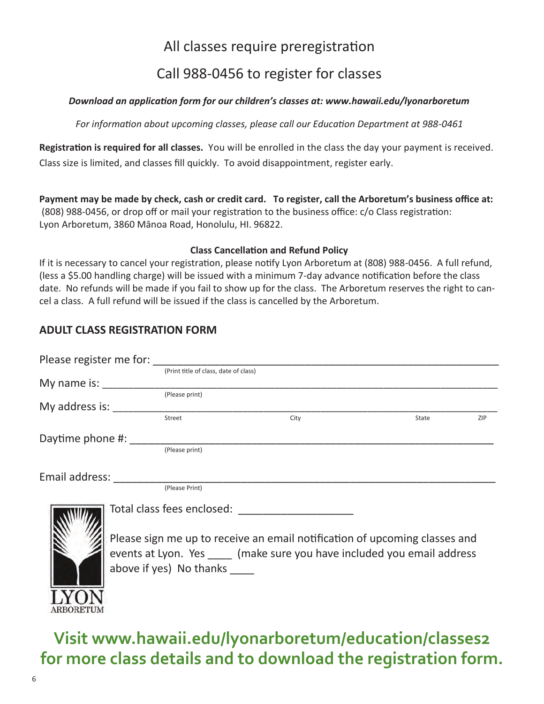## All classes require preregistration Call 988-0456 to register for classes

### *Download an application form for our children's classes at: www.hawaii.edu/lyonarboretum*

*For information about upcoming classes, please call our Education Department at 988-0461*

**Registration is required for all classes.** You will be enrolled in the class the day your payment is received. Class size is limited, and classes fill quickly. To avoid disappointment, register early.

**Payment may be made by check, cash or credit card. To register, call the Arboretum's business office at:**  (808) 988-0456, or drop off or mail your registration to the business office: c/o Class registration: Lyon Arboretum, 3860 Mānoa Road, Honolulu, HI. 96822.

### **Class Cancellation and Refund Policy**

If it is necessary to cancel your registration, please notify Lyon Arboretum at (808) 988-0456. A full refund, (less a \$5.00 handling charge) will be issued with a minimum 7-day advance notification before the class date. No refunds will be made if you fail to show up for the class. The Arboretum reserves the right to cancel a class. A full refund will be issued if the class is cancelled by the Arboretum.

### **ADULT CLASS REGISTRATION FORM**

| Please register me for:   |                                       |                                                                            |       |     |
|---------------------------|---------------------------------------|----------------------------------------------------------------------------|-------|-----|
|                           | (Print title of class, date of class) |                                                                            |       |     |
| My name is:               |                                       |                                                                            |       |     |
|                           | (Please print)                        |                                                                            |       |     |
| My address is:            |                                       |                                                                            |       |     |
|                           | Street                                | City                                                                       | State | ZIP |
| Daytime phone #: ________ |                                       |                                                                            |       |     |
|                           | (Please print)                        |                                                                            |       |     |
|                           |                                       |                                                                            |       |     |
| Email address:            |                                       |                                                                            |       |     |
|                           | (Please Print)                        |                                                                            |       |     |
|                           |                                       | Total class fees enclosed: Total class fees enclosed:                      |       |     |
|                           |                                       | Please sign me up to receive an email notification of upcoming classes and |       |     |
|                           |                                       | events at Lyon. Yes (make sure you have included you email address         |       |     |
|                           |                                       |                                                                            |       |     |
|                           | above if yes) No thanks               |                                                                            |       |     |

**Visit www.hawaii.edu/lyonarboretum/education/classes2 for more class details and to download the registration form.**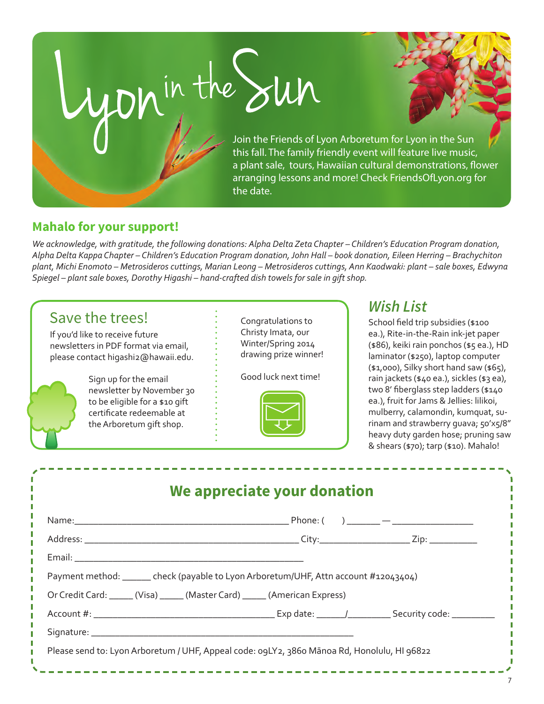$\frac{1}{2}$  Join the Friends of Lyon Arboretum for Lyon in the Sun this fall. The family friendly event will feature live music, a plant sale, tours, Hawaiian cultural demonstrations, flower arranging lessons and more! Check FriendsOfLyon.org for the date.

### **Mahalo for your support!**

*We acknowledge, with gratitude, the following donations: Alpha Delta Zeta Chapter – Children's Education Program donation, Alpha Delta Kappa Chapter – Children's Education Program donation, John Hall – book donation, Eileen Herring – Brachychiton plant, Michi Enomoto – Metrosideros cuttings, Marian Leong – Metrosideros cuttings, Ann Kaodwaki: plant – sale boxes, Edwyna Spiegel – plant sale boxes, Dorothy Higashi – hand-crafted dish towels for sale in gift shop.*

## *Wish List* Save the trees!

If you'd like to receive future newsletters in PDF format via email, please contact higashi2@hawaii.edu.



Sign up for the email newsletter by November 30 to be eligible for a \$10 gift certificate redeemable at the Arboretum gift shop.

Congratulations to Christy Imata, our Winter/Spring 2014 drawing prize winner!

Good luck next time!



School field trip subsidies (\$100 ea.), Rite-in-the-Rain ink-jet paper (\$86), keiki rain ponchos (\$5 ea.), HD laminator (\$250), laptop computer (\$1,000), Silky short hand saw (\$65), rain jackets (\$40 ea.), sickles (\$3 ea), two 8' fiberglass step ladders (\$140 ea.), fruit for Jams & Jellies: lilikoi, mulberry, calamondin, kumquat, surinam and strawberry guava; 50'x5/8" heavy duty garden hose; pruning saw & shears (\$70); tarp (\$10). Mahalo!

| Payment method: _______ check (payable to Lyon Arboretum/UHF, Attn account #12043404) |  |
|---------------------------------------------------------------------------------------|--|
| Or Credit Card: _____ (Visa) _____ (Master Card) _____ (American Express)             |  |
|                                                                                       |  |
|                                                                                       |  |